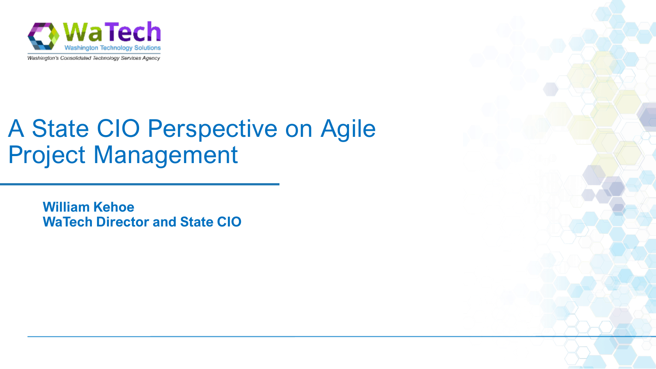

Washington's Consolidated Technology Services Agency

# A State CIO Perspective on Agile Project Management

**William Kehoe WaTech Director and State CIO**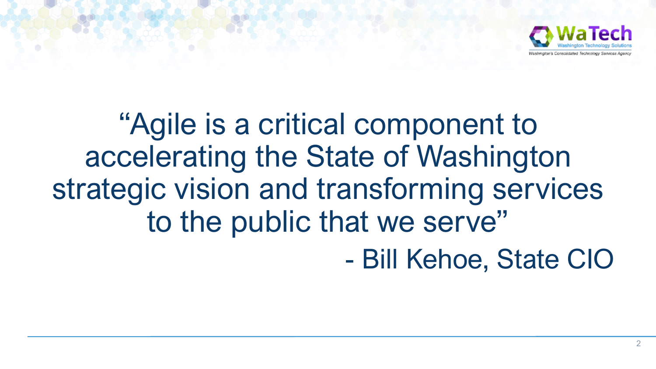

# "Agile is a critical component to accelerating the State of Washington strategic vision and transforming services to the public that we serve" - Bill Kehoe, State CIO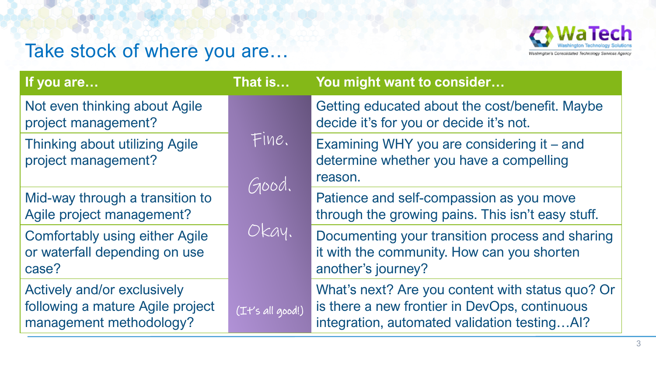#### **WaTech** Washington's Consolidated Technology Services Agency

## Take stock of where you are…

| That is          | You might want to consider                                                                                                                        |
|------------------|---------------------------------------------------------------------------------------------------------------------------------------------------|
|                  | Getting educated about the cost/benefit. Maybe<br>decide it's for you or decide it's not.                                                         |
|                  | Examining WHY you are considering it – and<br>determine whether you have a compelling<br>reason.                                                  |
|                  | Patience and self-compassion as you move<br>through the growing pains. This isn't easy stuff.                                                     |
|                  | Documenting your transition process and sharing<br>it with the community. How can you shorten<br>another's journey?                               |
| (It's all good!) | What's next? Are you content with status quo? Or<br>is there a new frontier in DevOps, continuous<br>integration, automated validation testingAI? |
|                  | Fine.<br>Good.<br>Okay.                                                                                                                           |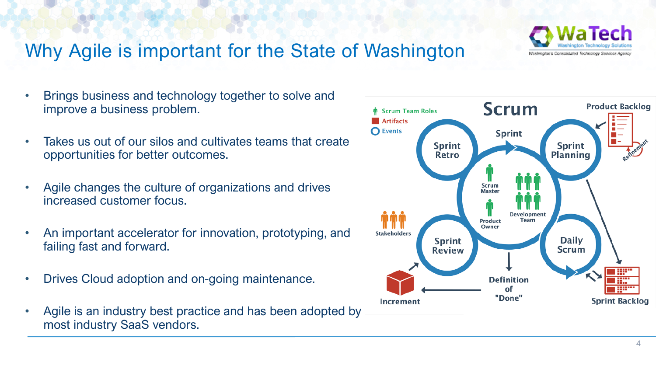

### Why Agile is important for the State of Washington

- Brings business and technology together to solve and improve a business problem.
- Takes us out of our silos and cultivates teams that create opportunities for better outcomes.
- Agile changes the culture of organizations and drives increased customer focus.
- An important accelerator for innovation, prototyping, and failing fast and forward.
- Drives Cloud adoption and on-going maintenance.
- Agile is an industry best practice and has been adopted by most industry SaaS vendors.